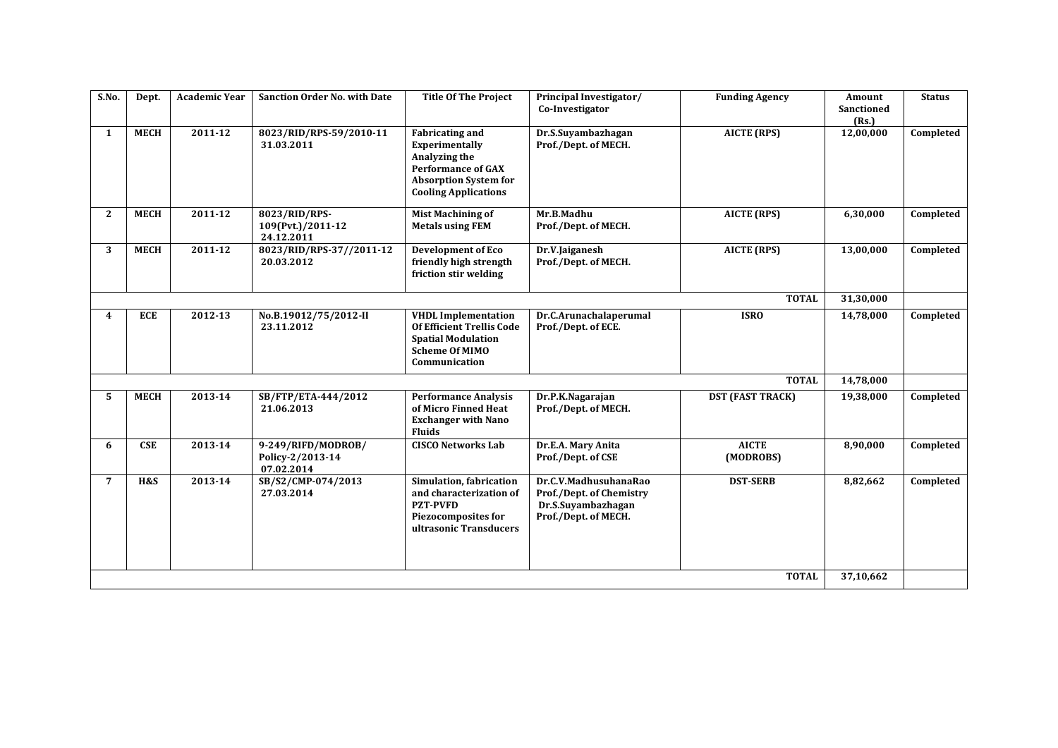| S.No.          | Dept.       | <b>Academic Year</b> | <b>Sanction Order No. with Date</b>                  | <b>Title Of The Project</b>                                                                                                                           | Principal Investigator/<br>Co-Investigator                                                      | <b>Funding Agency</b>     | Amount<br><b>Sanctioned</b><br>(Rs.) | <b>Status</b> |
|----------------|-------------|----------------------|------------------------------------------------------|-------------------------------------------------------------------------------------------------------------------------------------------------------|-------------------------------------------------------------------------------------------------|---------------------------|--------------------------------------|---------------|
| $\mathbf{1}$   | <b>MECH</b> | 2011-12              | 8023/RID/RPS-59/2010-11<br>31.03.2011                | <b>Fabricating and</b><br>Experimentally<br>Analyzing the<br><b>Performance of GAX</b><br><b>Absorption System for</b><br><b>Cooling Applications</b> | Dr.S.Suyambazhagan<br>Prof./Dept. of MECH.                                                      | <b>AICTE (RPS)</b>        | 12,00,000                            | Completed     |
| $\mathbf{2}$   | <b>MECH</b> | $2011 - 12$          | 8023/RID/RPS-<br>109(Pvt.)/2011-12<br>24.12.2011     | <b>Mist Machining of</b><br><b>Metals using FEM</b>                                                                                                   | Mr.B.Madhu<br>Prof./Dept. of MECH.                                                              | <b>AICTE (RPS)</b>        | 6,30,000                             | Completed     |
| 3              | <b>MECH</b> | 2011-12              | 8023/RID/RPS-37//2011-12<br>20.03.2012               | <b>Development of Eco</b><br>friendly high strength<br>friction stir welding                                                                          | Dr.V.Jaiganesh<br>Prof./Dept. of MECH.                                                          | <b>AICTE (RPS)</b>        | 13,00,000                            | Completed     |
|                |             |                      |                                                      |                                                                                                                                                       |                                                                                                 | <b>TOTAL</b>              | 31,30,000                            |               |
| 4              | <b>ECE</b>  | 2012-13              | No.B.19012/75/2012-II<br>23.11.2012                  | <b>VHDL Implementation</b><br>Of Efficient Trellis Code<br><b>Spatial Modulation</b><br><b>Scheme Of MIMO</b><br>Communication                        | Dr.C.Arunachalaperumal<br>Prof./Dept. of ECE.                                                   | <b>ISRO</b>               | 14,78,000                            | Completed     |
|                |             |                      |                                                      |                                                                                                                                                       |                                                                                                 | <b>TOTAL</b>              | 14,78,000                            |               |
| 5              | <b>MECH</b> | 2013-14              | SB/FTP/ETA-444/2012<br>21.06.2013                    | <b>Performance Analysis</b><br>of Micro Finned Heat<br><b>Exchanger with Nano</b><br><b>Fluids</b>                                                    | Dr.P.K.Nagarajan<br>Prof./Dept. of MECH.                                                        | <b>DST (FAST TRACK)</b>   | 19,38,000                            | Completed     |
| 6              | <b>CSE</b>  | 2013-14              | 9-249/RIFD/MODROB/<br>Policy-2/2013-14<br>07.02.2014 | <b>CISCO Networks Lab</b>                                                                                                                             | Dr.E.A. Mary Anita<br>Prof./Dept. of CSE                                                        | <b>AICTE</b><br>(MODROBS) | 8,90,000                             | Completed     |
| $\overline{7}$ | H&S         | 2013-14              | SB/S2/CMP-074/2013<br>27.03.2014                     | Simulation, fabrication<br>and characterization of<br><b>PZT-PVFD</b><br><b>Piezocomposites for</b><br>ultrasonic Transducers                         | Dr.C.V.MadhusuhanaRao<br>Prof./Dept. of Chemistry<br>Dr.S.Suyambazhagan<br>Prof./Dept. of MECH. | <b>DST-SERB</b>           | 8,82,662                             | Completed     |
|                |             |                      |                                                      |                                                                                                                                                       |                                                                                                 | <b>TOTAL</b>              | 37,10,662                            |               |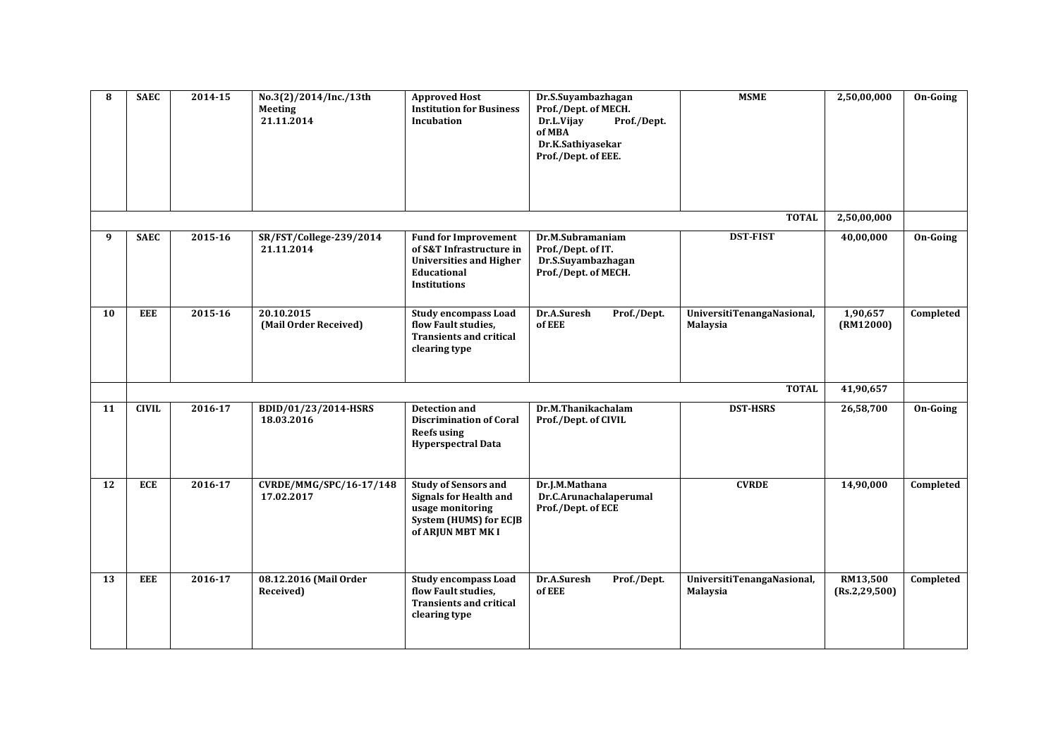| 8  | <b>SAEC</b>  | 2014-15 | No.3(2)/2014/Inc./13th<br>Meeting<br>21.11.2014 | <b>Approved Host</b><br><b>Institution for Business</b><br>Incubation                                                                  | Dr.S.Suyambazhagan<br>Prof./Dept. of MECH.<br>Dr.L.Vijay<br>Prof./Dept.<br>of MBA<br>Dr.K.Sathiyasekar<br>Prof./Dept. of EEE. | <b>MSME</b>                                   | 2,50,00,000                 | On-Going  |
|----|--------------|---------|-------------------------------------------------|----------------------------------------------------------------------------------------------------------------------------------------|-------------------------------------------------------------------------------------------------------------------------------|-----------------------------------------------|-----------------------------|-----------|
|    |              |         |                                                 |                                                                                                                                        |                                                                                                                               | <b>TOTAL</b>                                  | 2,50,00,000                 |           |
| 9  | <b>SAEC</b>  | 2015-16 | SR/FST/College-239/2014<br>21.11.2014           | <b>Fund for Improvement</b><br>of S&T Infrastructure in<br><b>Universities and Higher</b><br>Educational<br><b>Institutions</b>        | Dr.M.Subramaniam<br>Prof./Dept. of IT.<br>Dr.S.Suyambazhagan<br>Prof./Dept. of MECH.                                          | <b>DST-FIST</b>                               | 40,00,000                   | On-Going  |
| 10 | <b>EEE</b>   | 2015-16 | 20.10.2015<br>(Mail Order Received)             | <b>Study encompass Load</b><br>flow Fault studies.<br><b>Transients and critical</b><br>clearing type                                  | Dr.A.Suresh<br>Prof./Dept.<br>of EEE                                                                                          | UniversitiTenangaNasional,<br><b>Malaysia</b> | 1,90,657<br>(RM12000)       | Completed |
|    |              |         |                                                 |                                                                                                                                        |                                                                                                                               | <b>TOTAL</b>                                  | 41,90,657                   |           |
| 11 | <b>CIVIL</b> | 2016-17 | BDID/01/23/2014-HSRS<br>18.03.2016              | <b>Detection and</b><br><b>Discrimination of Coral</b><br><b>Reefs using</b><br><b>Hyperspectral Data</b>                              | Dr.M.Thanikachalam<br>Prof./Dept. of CIVIL                                                                                    | <b>DST-HSRS</b>                               | 26,58,700                   | On-Going  |
| 12 | <b>ECE</b>   | 2016-17 | CVRDE/MMG/SPC/16-17/148<br>17.02.2017           | <b>Study of Sensors and</b><br><b>Signals for Health and</b><br>usage monitoring<br><b>System (HUMS) for ECJB</b><br>of ARJUN MBT MK I | Dr.J.M.Mathana<br>Dr.C.Arunachalaperumal<br>Prof./Dept. of ECE                                                                | <b>CVRDE</b>                                  | 14,90,000                   | Completed |
| 13 | <b>EEE</b>   | 2016-17 | 08.12.2016 (Mail Order<br>Received)             | <b>Study encompass Load</b><br>flow Fault studies.<br><b>Transients and critical</b><br>clearing type                                  | Dr.A.Suresh<br>Prof./Dept.<br>of EEE                                                                                          | UniversitiTenangaNasional,<br><b>Malaysia</b> | RM13,500<br>(Rs.2, 29, 500) | Completed |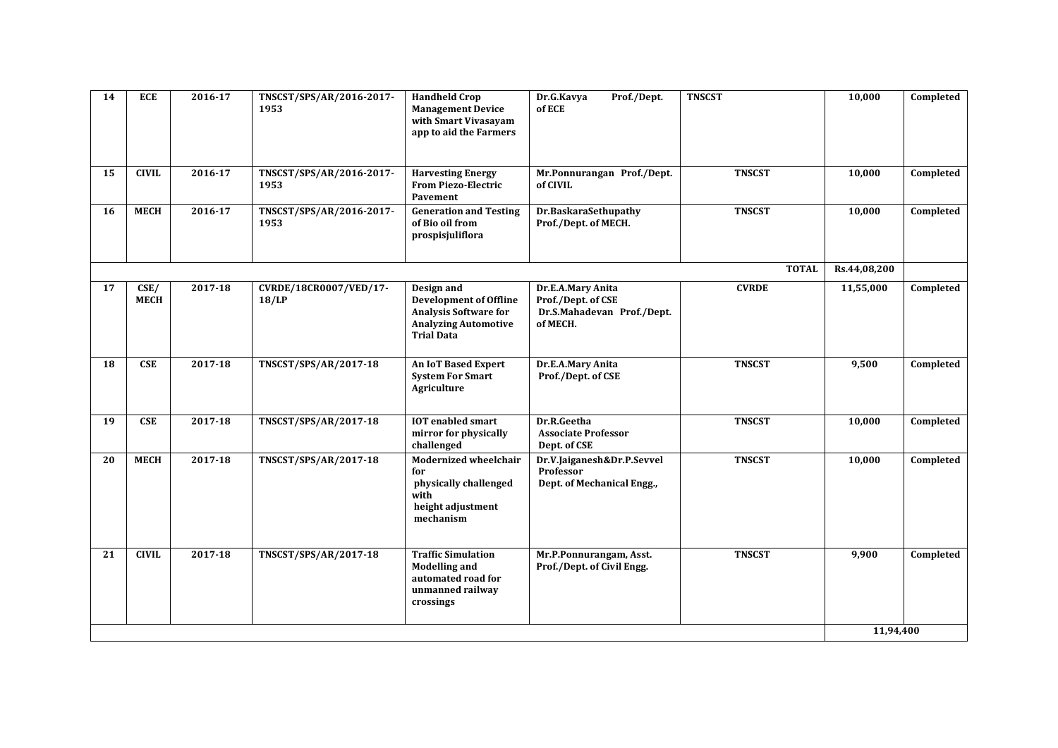| 14 | <b>ECE</b>          | 2016-17 | TNSCST/SPS/AR/2016-2017-<br>1953   | <b>Handheld Crop</b><br><b>Management Device</b><br>with Smart Vivasayam<br>app to aid the Farmers                              | Dr.G.Kavya<br>Prof./Dept.<br>of ECE                                               | <b>TNSCST</b> | 10,000       | Completed |
|----|---------------------|---------|------------------------------------|---------------------------------------------------------------------------------------------------------------------------------|-----------------------------------------------------------------------------------|---------------|--------------|-----------|
| 15 | <b>CIVIL</b>        | 2016-17 | TNSCST/SPS/AR/2016-2017-<br>1953   | <b>Harvesting Energy</b><br><b>From Piezo-Electric</b><br>Pavement                                                              | Mr.Ponnurangan Prof./Dept.<br>of CIVIL                                            | <b>TNSCST</b> | 10,000       | Completed |
| 16 | <b>MECH</b>         | 2016-17 | TNSCST/SPS/AR/2016-2017-<br>1953   | <b>Generation and Testing</b><br>of Bio oil from<br>prospisjuliflora                                                            | Dr.BaskaraSethupathy<br>Prof./Dept. of MECH.                                      | <b>TNSCST</b> | 10,000       | Completed |
|    |                     |         |                                    |                                                                                                                                 |                                                                                   | <b>TOTAL</b>  | Rs.44,08,200 |           |
| 17 | CSE/<br><b>MECH</b> | 2017-18 | CVRDE/18CR0007/VED/17-<br>$18$ /LP | Design and<br><b>Development of Offline</b><br><b>Analysis Software for</b><br><b>Analyzing Automotive</b><br><b>Trial Data</b> | Dr.E.A.Mary Anita<br>Prof./Dept. of CSE<br>Dr.S.Mahadevan Prof./Dept.<br>of MECH. | <b>CVRDE</b>  | 11,55,000    | Completed |
| 18 | <b>CSE</b>          | 2017-18 | TNSCST/SPS/AR/2017-18              | <b>An IoT Based Expert</b><br><b>System For Smart</b><br>Agriculture                                                            | Dr.E.A.Mary Anita<br>Prof./Dept. of CSE                                           | <b>TNSCST</b> | 9,500        | Completed |
| 19 | <b>CSE</b>          | 2017-18 | TNSCST/SPS/AR/2017-18              | <b>IOT</b> enabled smart<br>mirror for physically<br>challenged                                                                 | Dr.R.Geetha<br><b>Associate Professor</b><br>Dept. of CSE                         | <b>TNSCST</b> | 10,000       | Completed |
| 20 | <b>MECH</b>         | 2017-18 | TNSCST/SPS/AR/2017-18              | <b>Modernized wheelchair</b><br>for<br>physically challenged<br>with<br>height adjustment<br>mechanism                          | Dr.V.Jaiganesh&Dr.P.Sevvel<br>Professor<br>Dept. of Mechanical Engg.,             | <b>TNSCST</b> | 10,000       | Completed |
| 21 | <b>CIVIL</b>        | 2017-18 | TNSCST/SPS/AR/2017-18              | <b>Traffic Simulation</b><br><b>Modelling and</b><br>automated road for<br>unmanned railway<br>crossings                        | Mr.P.Ponnurangam, Asst.<br>Prof./Dept. of Civil Engg.                             | <b>TNSCST</b> | 9,900        | Completed |
|    |                     |         |                                    |                                                                                                                                 |                                                                                   |               | 11,94,400    |           |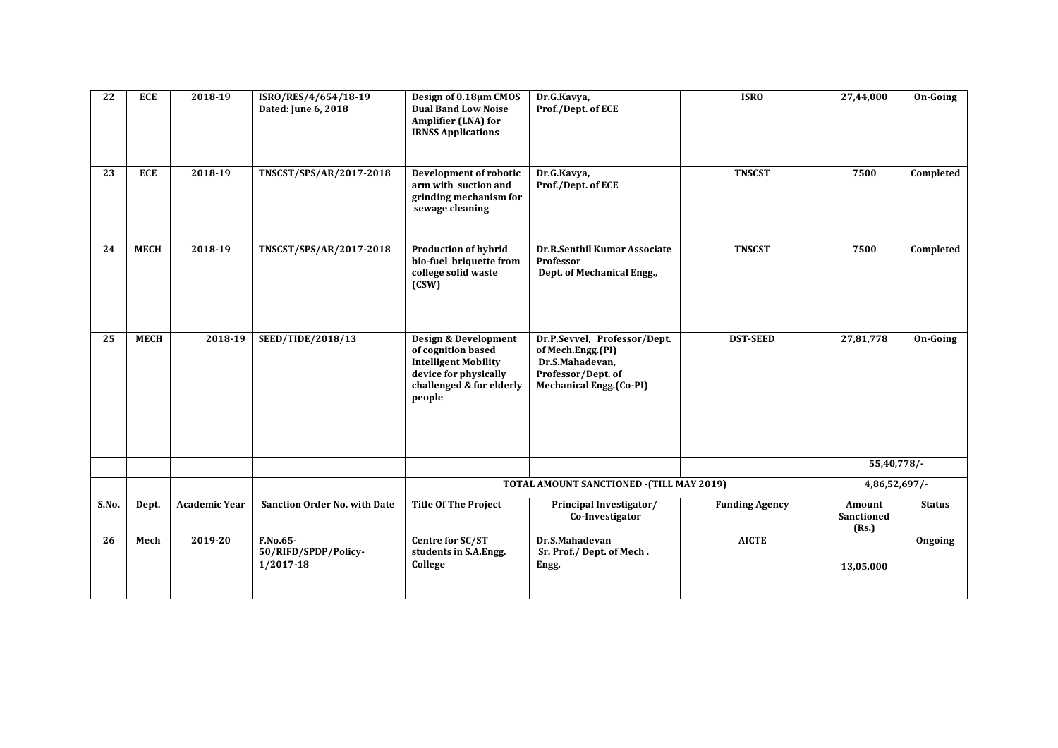| 22    | <b>ECE</b>  | 2018-19              | ISRO/RES/4/654/18-19<br>Dated: June 6, 2018   | Design of 0.18µm CMOS<br><b>Dual Band Low Noise</b><br>Amplifier (LNA) for<br><b>IRNSS Applications</b>                                  | Dr.G.Kavya,<br>Prof./Dept. of ECE                                                                                            | <b>ISRO</b>           | 27,44,000                     | On-Going      |
|-------|-------------|----------------------|-----------------------------------------------|------------------------------------------------------------------------------------------------------------------------------------------|------------------------------------------------------------------------------------------------------------------------------|-----------------------|-------------------------------|---------------|
| 23    | <b>ECE</b>  | 2018-19              | TNSCST/SPS/AR/2017-2018                       | Development of robotic<br>arm with suction and<br>grinding mechanism for<br>sewage cleaning                                              | Dr.G.Kavya,<br>Prof./Dept. of ECE                                                                                            | <b>TNSCST</b>         | 7500                          | Completed     |
| 24    | <b>MECH</b> | $2018-19$            | TNSCST/SPS/AR/2017-2018                       | <b>Production of hybrid</b><br>bio-fuel briquette from<br>college solid waste<br>(CSW)                                                   | Dr.R.Senthil Kumar Associate<br>Professor<br>Dept. of Mechanical Engg.,                                                      | <b>TNSCST</b>         | 7500                          | Completed     |
| 25    | <b>MECH</b> | 2018-19              | SEED/TIDE/2018/13                             | Design & Development<br>of cognition based<br><b>Intelligent Mobility</b><br>device for physically<br>challenged & for elderly<br>people | Dr.P.Sevvel, Professor/Dept.<br>of Mech.Engg.(PI)<br>Dr.S.Mahadevan,<br>Professor/Dept. of<br><b>Mechanical Engg.(Co-PI)</b> | <b>DST-SEED</b>       | 27,81,778                     | On-Going      |
|       |             |                      |                                               |                                                                                                                                          |                                                                                                                              |                       | 55,40,778/-                   |               |
|       |             |                      |                                               | TOTAL AMOUNT SANCTIONED - (TILL MAY 2019)                                                                                                |                                                                                                                              |                       |                               | 4,86,52,697/  |
| S.No. | Dept.       | <b>Academic Year</b> | <b>Sanction Order No. with Date</b>           | <b>Title Of The Project</b>                                                                                                              | Principal Investigator/<br>Co-Investigator                                                                                   | <b>Funding Agency</b> | Amount<br>Sanctioned<br>(Rs.) | <b>Status</b> |
| 26    | Mech        | 2019-20              | F.No.65-<br>50/RIFD/SPDP/Policy-<br>1/2017-18 | Centre for SC/ST<br>students in S.A.Engg.<br>College                                                                                     | Dr.S.Mahadevan<br>Sr. Prof./ Dept. of Mech.<br>Engg.                                                                         | <b>AICTE</b>          | 13,05,000                     | Ongoing       |